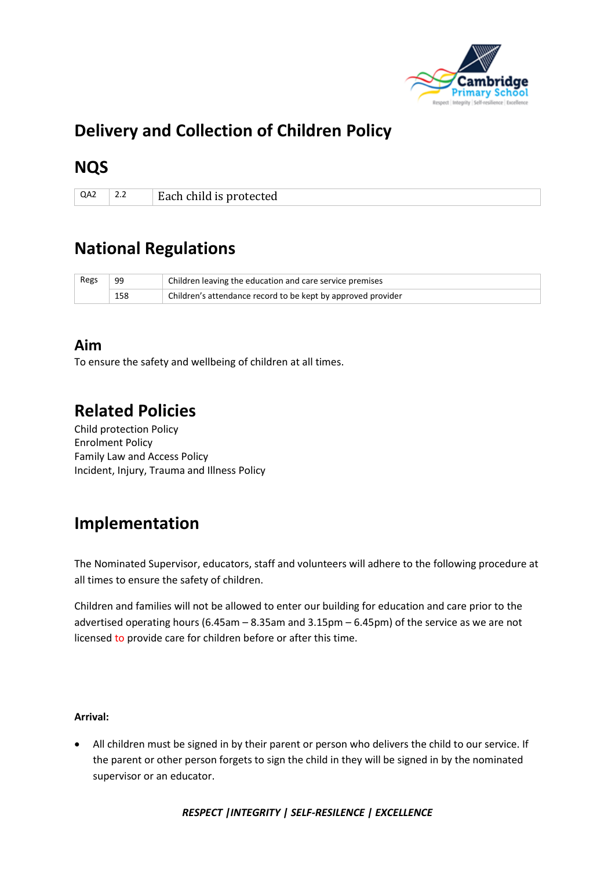

# **Delivery and Collection of Children Policy**

## **NQS**

 $Q_{A2}$  2.2 **Each child is protected** 

# **National Regulations**

| Regs | 99  | Children leaving the education and care service premises     |
|------|-----|--------------------------------------------------------------|
|      | 158 | Children's attendance record to be kept by approved provider |

### **Aim**

To ensure the safety and wellbeing of children at all times.

# **Related Policies**

Child protection Policy Enrolment Policy Family Law and Access Policy Incident, Injury, Trauma and Illness Policy

### **Implementation**

The Nominated Supervisor, educators, staff and volunteers will adhere to the following procedure at all times to ensure the safety of children.

Children and families will not be allowed to enter our building for education and care prior to the advertised operating hours (6.45am – 8.35am and 3.15pm – 6.45pm) of the service as we are not licensed to provide care for children before or after this time.

#### **Arrival:**

• All children must be signed in by their parent or person who delivers the child to our service. If the parent or other person forgets to sign the child in they will be signed in by the nominated supervisor or an educator.

*RESPECT |INTEGRITY | SELF-RESILENCE | EXCELLENCE*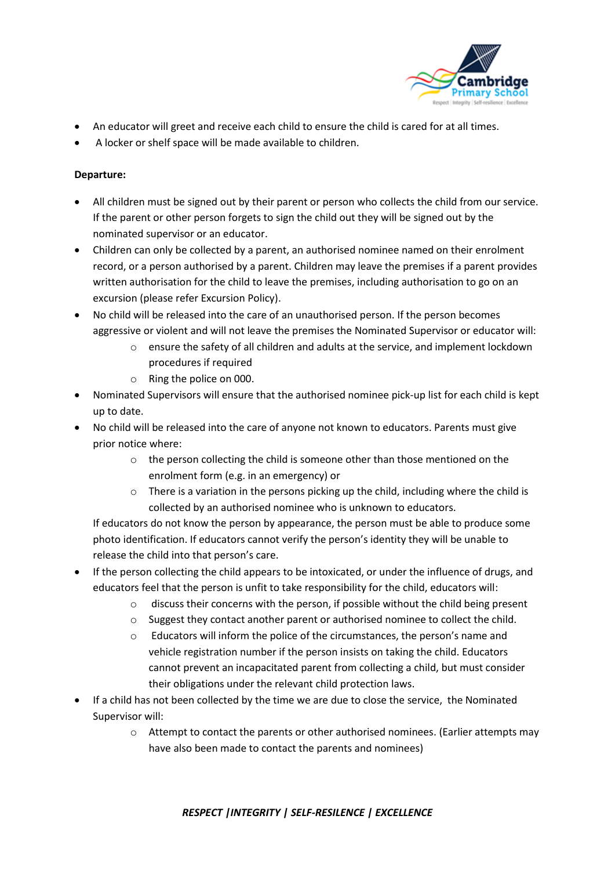

- An educator will greet and receive each child to ensure the child is cared for at all times.
- A locker or shelf space will be made available to children.

#### **Departure:**

- All children must be signed out by their parent or person who collects the child from our service. If the parent or other person forgets to sign the child out they will be signed out by the nominated supervisor or an educator.
- Children can only be collected by a parent, an authorised nominee named on their enrolment record, or a person authorised by a parent. Children may leave the premises if a parent provides written authorisation for the child to leave the premises, including authorisation to go on an excursion (please refer Excursion Policy).
- No child will be released into the care of an unauthorised person. If the person becomes aggressive or violent and will not leave the premises the Nominated Supervisor or educator will:
	- o ensure the safety of all children and adults at the service, and implement lockdown procedures if required
	- o Ring the police on 000.
- Nominated Supervisors will ensure that the authorised nominee pick-up list for each child is kept up to date.
- No child will be released into the care of anyone not known to educators. Parents must give prior notice where:
	- o the person collecting the child is someone other than those mentioned on the enrolment form (e.g. in an emergency) or
	- $\circ$  There is a variation in the persons picking up the child, including where the child is collected by an authorised nominee who is unknown to educators.

If educators do not know the person by appearance, the person must be able to produce some photo identification. If educators cannot verify the person's identity they will be unable to release the child into that person's care.

- If the person collecting the child appears to be intoxicated, or under the influence of drugs, and educators feel that the person is unfit to take responsibility for the child, educators will:
	- o discuss their concerns with the person, if possible without the child being present
	- $\circ$  Suggest they contact another parent or authorised nominee to collect the child.
	- o Educators will inform the police of the circumstances, the person's name and vehicle registration number if the person insists on taking the child. Educators cannot prevent an incapacitated parent from collecting a child, but must consider their obligations under the relevant child protection laws.
- If a child has not been collected by the time we are due to close the service, the Nominated Supervisor will:
	- o Attempt to contact the parents or other authorised nominees. (Earlier attempts may have also been made to contact the parents and nominees)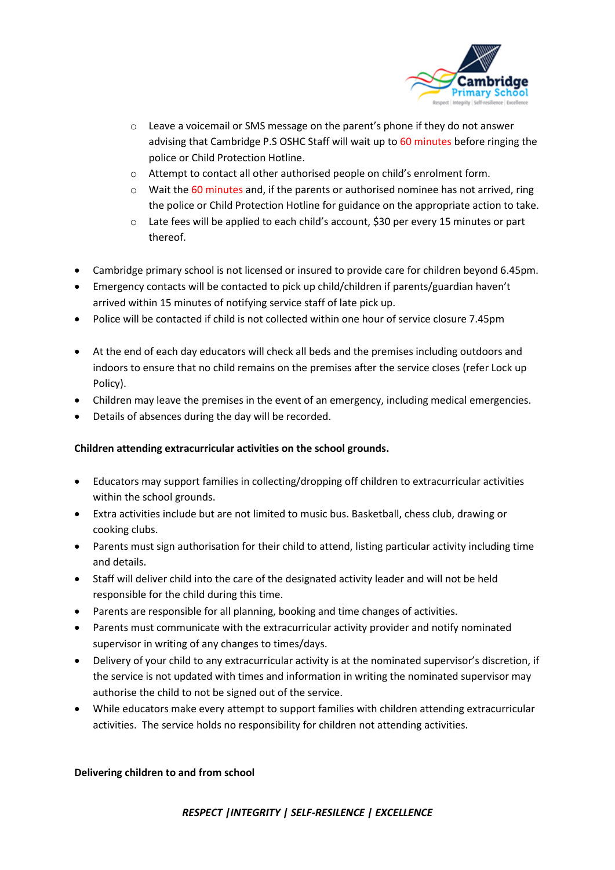

- o Leave a voicemail or SMS message on the parent's phone if they do not answer advising that Cambridge P.S OSHC Staff will wait up to 60 minutes before ringing the police or Child Protection Hotline.
- o Attempt to contact all other authorised people on child's enrolment form.
- $\circ$  Wait the 60 minutes and, if the parents or authorised nominee has not arrived, ring the police or Child Protection Hotline for guidance on the appropriate action to take.
- o Late fees will be applied to each child's account, \$30 per every 15 minutes or part thereof.
- Cambridge primary school is not licensed or insured to provide care for children beyond 6.45pm.
- Emergency contacts will be contacted to pick up child/children if parents/guardian haven't arrived within 15 minutes of notifying service staff of late pick up.
- Police will be contacted if child is not collected within one hour of service closure 7.45pm
- At the end of each day educators will check all beds and the premises including outdoors and indoors to ensure that no child remains on the premises after the service closes (refer Lock up Policy).
- Children may leave the premises in the event of an emergency, including medical emergencies.
- Details of absences during the day will be recorded.

#### **Children attending extracurricular activities on the school grounds.**

- Educators may support families in collecting/dropping off children to extracurricular activities within the school grounds.
- Extra activities include but are not limited to music bus. Basketball, chess club, drawing or cooking clubs.
- Parents must sign authorisation for their child to attend, listing particular activity including time and details.
- Staff will deliver child into the care of the designated activity leader and will not be held responsible for the child during this time.
- Parents are responsible for all planning, booking and time changes of activities.
- Parents must communicate with the extracurricular activity provider and notify nominated supervisor in writing of any changes to times/days.
- Delivery of your child to any extracurricular activity is at the nominated supervisor's discretion, if the service is not updated with times and information in writing the nominated supervisor may authorise the child to not be signed out of the service.
- While educators make every attempt to support families with children attending extracurricular activities. The service holds no responsibility for children not attending activities.

#### **Delivering children to and from school**